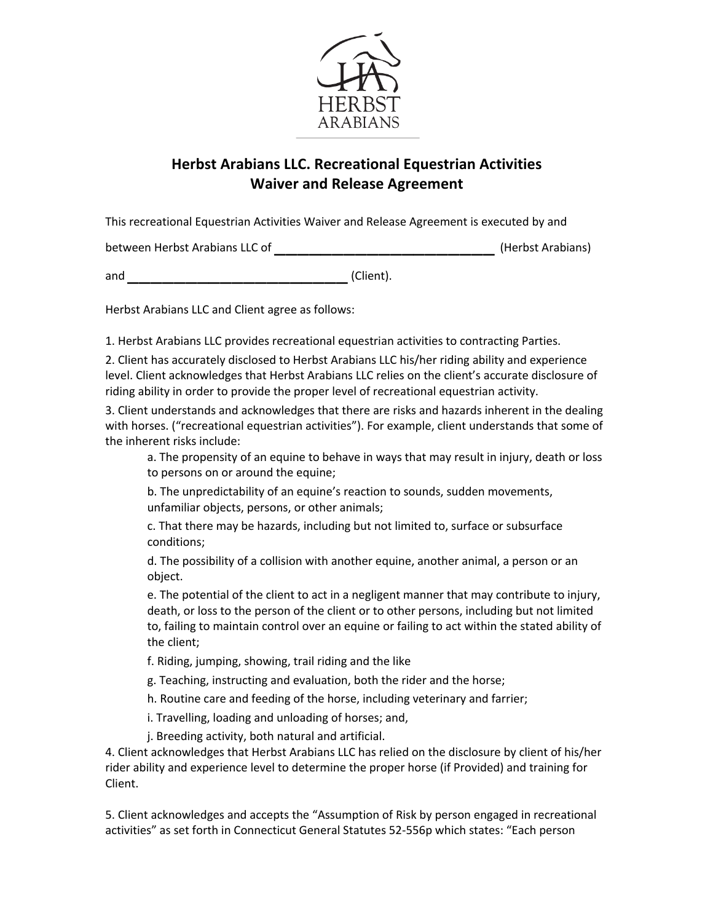

## **Herbst Arabians LLC. Recreational Equestrian Activities Waiver and Release Agreement**

This recreational Equestrian Activities Waiver and Release Agreement is executed by and

between Herbst Arabians LLC of \_\_\_\_\_\_\_\_\_\_\_\_\_\_\_\_\_\_\_ (Herbst Arabians)

and (Client).

Herbst Arabians LLC and Client agree as follows:

1. Herbst Arabians LLC provides recreational equestrian activities to contracting Parties.

2. Client has accurately disclosed to Herbst Arabians LLC his/her riding ability and experience level. Client acknowledges that Herbst Arabians LLC relies on the client's accurate disclosure of riding ability in order to provide the proper level of recreational equestrian activity.

3. Client understands and acknowledges that there are risks and hazards inherent in the dealing with horses. ("recreational equestrian activities"). For example, client understands that some of the inherent risks include:

a. The propensity of an equine to behave in ways that may result in injury, death or loss to persons on or around the equine;

b. The unpredictability of an equine's reaction to sounds, sudden movements, unfamiliar objects, persons, or other animals;

c. That there may be hazards, including but not limited to, surface or subsurface conditions;

d. The possibility of a collision with another equine, another animal, a person or an object.

e. The potential of the client to act in a negligent manner that may contribute to injury, death, or loss to the person of the client or to other persons, including but not limited to, failing to maintain control over an equine or failing to act within the stated ability of the client;

f. Riding, jumping, showing, trail riding and the like

- g. Teaching, instructing and evaluation, both the rider and the horse;
- h. Routine care and feeding of the horse, including veterinary and farrier;
- i. Travelling, loading and unloading of horses; and,
- j. Breeding activity, both natural and artificial.

4. Client acknowledges that Herbst Arabians LLC has relied on the disclosure by client of his/her rider ability and experience level to determine the proper horse (if Provided) and training for Client.

5. Client acknowledges and accepts the "Assumption of Risk by person engaged in recreational activities" as set forth in Connecticut General Statutes 52-556p which states: "Each person